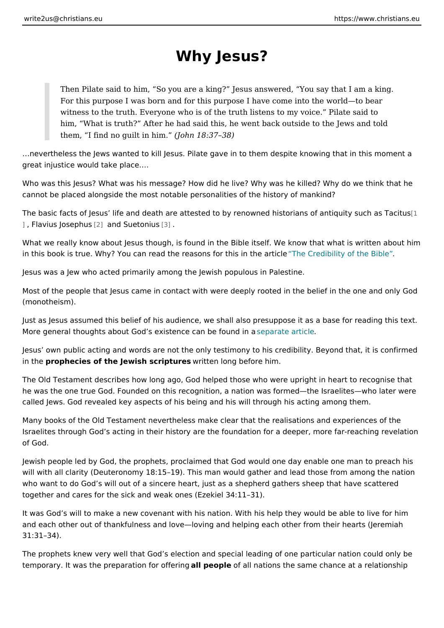## Why Jesus?

Then Pilate said to him, So you are a king? Jesus answered, You say For this purpose I was born and for this purpose I have come into the w witness to the truth. Everyone who is of the truth listens to my voice. him, What is truth? After he had said this, he went back outside to the them, I find no quilt  $(d$  oth imm.  $18:37$  38)

&nevertheless the Jews wanted to kill Jesus. Pilate gave in to them despite know great injustice would take place. &

Who was this Jesus? What was his message? How did he live? Why was he killed cannot be placed alongside the most notable personalities of the history of mank

The basic facts of Jesus life and death are attested to by renowned histor[ians o ], Flavius Jos phand Sueton  $\beta$ ius

What we really know about Jesus though, is found in the Bible itself. We know th in this book is true. Why? You can read the reasons T froer Chriesdibilitity aftible Bible

Jesus was a Jew who acted primarily among the Jewish populous in Palestine.

Most of the people that Jesus came in contact with were deeply rooted in the be (monotheism).

Just as Jesus assumed this belief of his audience, we shall also presuppose it a More general thoughts about God s existence seamarbacter cau hid lien a

Jesus own public acting and words are not the only testimony to his credibility. in the rophecies of the Jewish scriptriulters long before him.

The Old Testament describes how long ago, God helped those who were upright in he was the one true God. Founded on this recognition, a nation was formed the I called Jews. God revealed key aspects of his being and his will through his actin

Many books of the Old Testament nevertheless make clear that the realisations a Israelites through God s acting in their history are the foundation for a deeper, of God.

Jewish people led by God, the prophets, proclaimed that God would one day enal will with all clarity (Deuteronomy 18:15 19). This man would gather and lead tho who want to do God s will out of a sincere heart, just as a shepherd gathers she together and cares for the sick and weak ones (Ezekiel 34:11 31).

It was God s will to make a new covenant with his nation. With his help they wou and each other out of thankfulness and love loving and helping each other from 31:31 34).

The prophets knew very well that God s election and special leading of one parti temporary. It was the preparatio**n** if opreomple **example all people in all people of all all all all all all a**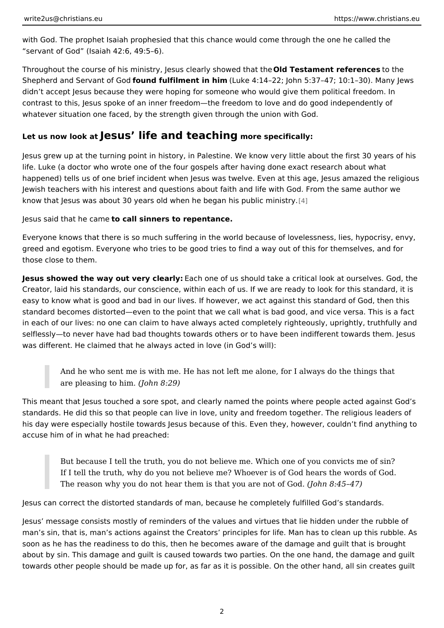with God. The prophet Isaiah prophesied that this chance would come through th servant of God (Isaiah 42:6, 49:5 6).

Throughout the course of his ministry, Jesus cle @lt dy Tsehsot we mende nthat e ftehree not eatshe Shepherd and Servanfoafn Gofdalfilment in (Humke 4:14 22; John 5:37 47; 10:1 30). M didn t accept Jesus because they were hoping for someone who would give them contrast to this, Jesus spoke of an inner freedom the freedom to love and do good whatever situation one faced, by the strength given through the union with God.

## Let us now look  $\det S$ us life and teachhing pecifically:

Jesus grew up at the turning point in history, in Palestine. We know very little a life. Luke (a doctor who wrote one of the four gospels after having done exact re happened) tells us of one brief incident when Jesus was twelve. Even at this age Jewish teachers with his interest and questions about faith and life with God. Fr know that Jesus was about 30 years old when he be[gan](#page-5-0) his public ministry.

Jesus said that heocean be sinners to repentance.

Everyone knows that there is so much suffering in the world because of loveless greed and egotism. Everyone who tries to be good tries to find a way out of this those close to them.

Jesus showed the way out very Eleecehrlogne of us should take a critical look at ours Creator, laid his standards, our conscience, within each of us. If we are ready to easy to know what is good and bad in our lives. If however, we act against this standard of God, then the standard of God, then this standard of God, then this standard of God, then this standard of God, then this standard standard becomes distorted even to the point that we call what is bad good, and in each of our lives: no one can claim to have always acted completely righteous selflessly to never have had bad thoughts towards others or to have been indiffe was different. He claimed that he always acted in love (in God s will):

And he who sent me is with me. He has not left me alone, for I always d are pleasing to  $(ho)$  him.  $8:29$ )

This meant that Jesus touched a sore spot, and clearly named the points where put standards. He did this so that people can live in love, unity and freedom togethe his day were especially hostile towards Jesus because of this. Even they, howev accuse him of in what he had preached:

But because I tell the truth, you do not believe me. Which one of you co If I tell the truth, why do you not believe me? Whoever is of God hears The reason why you do not hear them is that  $y \uplus d$  beheard  $\Phi$  of  $\mathcal F$   $\mathcal G$  od.

Jesus can correct the distorted standards of man, because he completely fulfille

Jesus message consists mostly of reminders of the values and virtues that lie h man s sin, that is, man s actions against the Creators principles for life. Man h soon as he has the readiness to do this, then he becomes aware of the damage and  $i$ about by sin. This damage and guilt is caused towards two parties. On the one h towards other people should be made up for, as far as it is possible. On the othe

2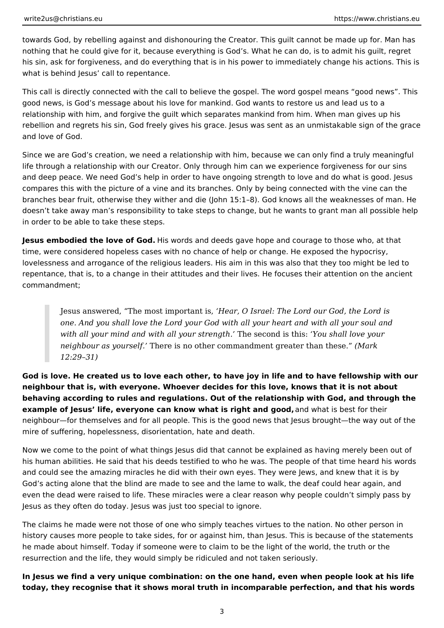towards God, by rebelling against and dishonouring the Creator. This guilt cannot be made up for. Man has nothing that he could give for it, because everything is God's. What he can do, is to admit his guilt, regret his sin, ask for forgiveness, and do everything that is in his power to immediately change his actions. This is what is behind Jesus' call to repentance.

This call is directly connected with the call to believe the gospel. The word gospel means "good news". This good news, is God's message about his love for mankind. God wants to restore us and lead us to a relationship with him, and forgive the guilt which separates mankind from him. When man gives up his rebellion and regrets his sin, God freely gives his grace. Jesus was sent as an unmistakable sign of the grace and love of God.

Since we are God's creation, we need a relationship with him, because we can only find a truly meaningful life through a relationship with our Creator. Only through him can we experience forgiveness for our sins and deep peace. We need God's help in order to have ongoing strength to love and do what is good. Jesus compares this with the picture of a vine and its branches. Only by being connected with the vine can the branches bear fruit, otherwise they wither and die (John 15:1–8). God knows all the weaknesses of man. He doesn't take away man's responsibility to take steps to change, but he wants to grant man all possible help in order to be able to take these steps.

**Jesus embodied the love of God.** His words and deeds gave hope and courage to those who, at that time, were considered hopeless cases with no chance of help or change. He exposed the hypocrisy, lovelessness and arrogance of the religious leaders. His aim in this was also that they too might be led to repentance, that is, to a change in their attitudes and their lives. He focuses their attention on the ancient commandment;

Jesus answered, "The most important is, *'Hear, O Israel: The Lord our God, the Lord is one. And you shall love the Lord your God with all your heart and with all your soul and with all your mind and with all your strength.'* The second is this: *'You shall love your neighbour as yourself.'* There is no other commandment greater than these." *(Mark 12:29–31)*

**God is love. He created us to love each other, to have joy in life and to have fellowship with our neighbour that is, with everyone. Whoever decides for this love, knows that it is not about behaving according to rules and regulations. Out of the relationship with God, and through the example of Jesus' life, everyone can know what is right and good,** and what is best for their neighbour—for themselves and for all people. This is the good news that Jesus brought—the way out of the mire of suffering, hopelessness, disorientation, hate and death.

Now we come to the point of what things Jesus did that cannot be explained as having merely been out of his human abilities. He said that his deeds testified to who he was. The people of that time heard his words and could see the amazing miracles he did with their own eyes. They were Jews, and knew that it is by God's acting alone that the blind are made to see and the lame to walk, the deaf could hear again, and even the dead were raised to life. These miracles were a clear reason why people couldn't simply pass by Jesus as they often do today. Jesus was just too special to ignore.

The claims he made were not those of one who simply teaches virtues to the nation. No other person in history causes more people to take sides, for or against him, than Jesus. This is because of the statements he made about himself. Today if someone were to claim to be the light of the world, the truth or the resurrection and the life, they would simply be ridiculed and not taken seriously.

**In Jesus we find a very unique combination: on the one hand, even when people look at his life today, they recognise that it shows moral truth in incomparable perfection, and that his words**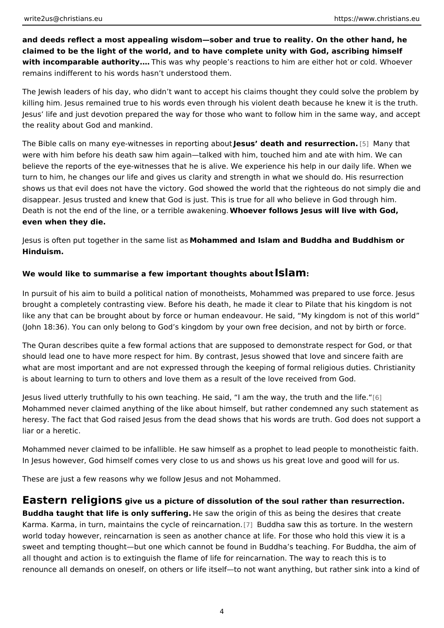and deeds reflect a most appealing wisdom sober and true to reality. On the other claimed to be the light of the world, and to have complete unity with God, ascrib with incomparable author Thing was why people s reactions to him are either hot o remains indifferent to his words hasn t understood them.

The Jewish leaders of his day, who didn t want to accept his claims thought they killing him. Jesus remained true to his words even through his violent death bec Jesus life and just devotion prepared the way for those who want to follow him the reality about God and mankind.

The Bible calls on many eye-witnesses in reportion at about resurre timeny that were with him before his death saw him again talked with him, touched him and a believe the reports of the eye-witnesses that he is alive. We experience his help turn to him, he changes our life and gives us clarity and strength in what we sho shows us that evil does not have the victory. God showed the world that the righ disappear. Jesus trusted and knew that God is just. This is true for all who belie Death is not the end of the line, or a tel whole vaw abelows a Jesus will live with God even when they die.

Jesus is often put together in th**id** oshaammem leidt aansd Islam and Buddha and Buddhism Hinduism.

We would like to summarise a few important thou**g&i£am**bout

In pursuit of his aim to build a political nation of monotheists, Mohammed was p brought a completely contrasting view. Before his death, he made it clear to Pila like any that can be brought about by force or human endeavour. He said, My ki (John 18:36). You can only belong to God s kingdom by your own free decision, and

The Quran describes quite a few formal actions that are supposed to demonstrat should lead one to have more respect for him. By contrast, Jesus showed that lo what are most important and are not expressed through the keeping of formal rel is about learning to turn to others and love them as a result of the love received

Jesus lived utterly truthfully to his own teaching. He said, I am t[he](#page-6-0) ney, the tru Mohammed never claimed anything of the like about himself, but rather condemned heresy. The fact that God raised Jesus from the dead shows that his words are t liar or a heretic.

Mohammed never claimed to be infallible. He saw himself as a prophet to lead po In Jesus however, God himself comes very close to us and shows us his great lo

These are just a few reasons why we follow Jesus and not Mohammed.

Eastern religions us a picture of dissolution of the soul rather than resur Buddha taught that life is only suffiee sianug the origin of this as being the desires t Karma. Karma, in turn, maintains the cycle  $\bar{p}$  f Brued d barsaw ot this as torture. In the world today however, reincarnation is seen as another chance at life. For those sweet and tempting thought but one which cannot be found in Buddha s teaching. all thought and action is to extinguish the flame of life for reincarnation. The wa renounce all demands on oneself, on others or life itself to not want anything, b

4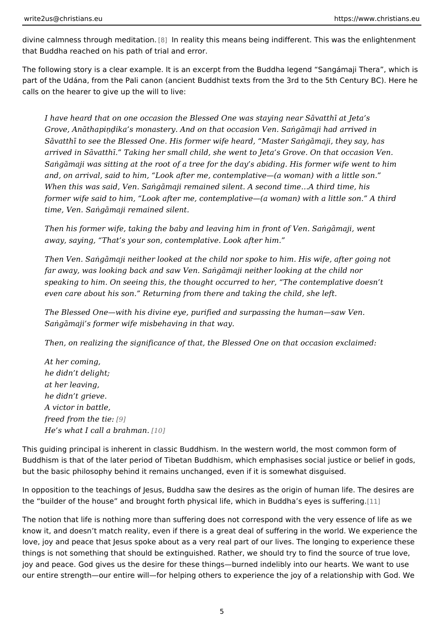divine calmness through m@]diltratrican.ity this means being indifferent. This was the that Buddha reached on his path of trial and error.

The following story is a clear example. It is an excerpt from the Buddha legend part of the Udána, from the Pali canon (ancient Buddhist texts from the 3rd to th calls on the hearer to give up the will to live:

I have heard that on one occasion the Blessed One was staying near S vat Grove, An thapiG ika s monastery. And on that occasion Ven. SaEg maji ha S vatth+ to see the Blessed One. His former wife heard, Master SaEg maji arrived in S vatth+. Taking her small child, she went to Jeta s Grove. On SaEg maji was sitting at the root of a tree for the day s abiding. His forme and, on arrival, said to him, Look after me, contemplative (a woman) with When this was said, Ven. SaEg maji remained silent. A second time&A third former wife said to him, Look after me, contemplative (a woman) with a lit time, Ven. SaEgmaji remained silent.

Then his former wife, taking the baby and leaving him in front of Ven. SaE away, saying, That s your son, contemplative. Look after him.

Then Ven. SaEg maji neither looked at the child nor spoke to him. His wife far away, was looking back and saw Ven. SaEg maji neither looking at the speaking to him. On seeing this, the thought occurred to her, The contemp even care about his son. Returning from there and taking the child, she le

The Blessed One with his divine eye, purified and surpassing the human sa SaEgmaji s former wife misbehaving in that way.

Then, on realizing the significance of that, the Blessed One on that occasi

At her coming, he didn t delight; at her leaving, he didn t grieve. A victor in battle, freed from the  $9$ tie: He s what I call a  $brab$ man.

This guiding principal is inherent in classic Buddhism. In the western world, the Buddhism is that of the later period of Tibetan Buddhism, which emphasises soci but the basic philosophy behind it remains unchanged, even if it is somewhat dis

In opposition to the teachings of Jesus, Buddha saw the desires as the origin of the builder of the house and brought forth physical life, which in [1B]uddha s eye

The notion that life is nothing more than suffering does not correspond with the know it, and doesn t match reality, even if there is a great deal of suffering in t love, joy and peace that Jesus spoke about as a very real part of our lives. The things is not something that should be extinguished. Rather, we should try to fin joy and peace. God gives us the desire for these things burned indelibly into our our entire strength our entire will for helping others to experience the joy of a r

5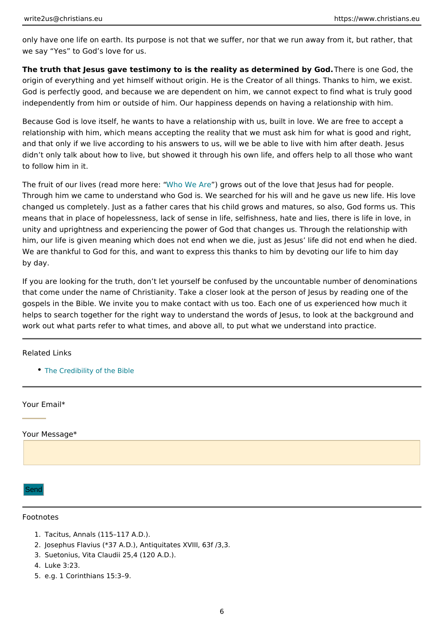<span id="page-5-0"></span>only have one life on earth. Its purpose is not that we suffer, nor that we run aw we say Yes to God s love for us.

The truth that Jesus gave testimony to is the reality as deteTmened sby neo God, th origin of everything and yet himself without origin. He is the Creator of all thing God is perfectly good, and because we are dependent on him, we cannot expect independently from him or outside of him. Our happiness depends on having a re

Because God is love itself, he wants to have a relationship with us, built in love relationship with him, which means accepting the reality that we must ask him fo and that only if we live according to his answers to us, will we be able to live w didn t only talk about how to live, but showed it through his own life, and offers to follow him in it.

The fruit of our lives (read Who be Wher e) tegrows out of the love that Jesus had for p Through him we came to understand who God is. We searched for his will and he changed us completely. Just as a father cares that his child grows and matures, means that in place of hopelessness, lack of sense in life, selfishness, hate and unity and uprightness and experiencing the power of God that changes us. Throu him, our life is given meaning which does not end when we die, just as Jesus li We are thankful to God for this, and want to express this thanks to him by devot by day.

If you are looking for the truth, don t let yourself be confused by the uncountabl that come under the name of Christianity. Take a closer look at the person of Je gospels in the Bible. We invite you to make contact with us too. Each one of us helps to search together for the right way to understand the words of Jesus, to I work out what parts refer to what times, and above all, to put what we understan

Related Links

[The Credibility of](https://www.christians.eu/credibility-bible-2/) the Bible

Your Email\*

Your Message\*

Send

## Footnotes

1.Tacitus, Annals (115 117 A.D.). 2.Josephus Flavius (\*37 A.D.), Antiquitates XVIII, 63f /3,3. 3.Suetonius, Vita Claudii 25,4 (120 A.D.). 4.Luke 3:23. 5.e.g. 1 Corinthians 15:3 9.